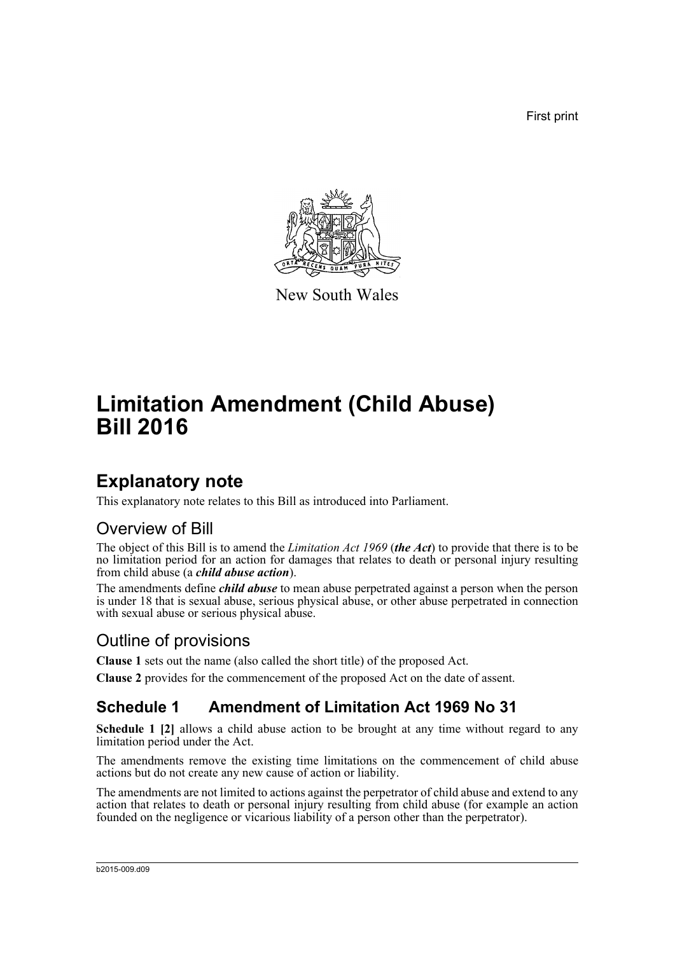First print



New South Wales

# **Limitation Amendment (Child Abuse) Bill 2016**

### **Explanatory note**

This explanatory note relates to this Bill as introduced into Parliament.

### Overview of Bill

The object of this Bill is to amend the *Limitation Act 1969* (*the Act*) to provide that there is to be no limitation period for an action for damages that relates to death or personal injury resulting from child abuse (a *child abuse action*).

The amendments define *child abuse* to mean abuse perpetrated against a person when the person is under 18 that is sexual abuse, serious physical abuse, or other abuse perpetrated in connection with sexual abuse or serious physical abuse.

### Outline of provisions

**Clause 1** sets out the name (also called the short title) of the proposed Act.

**Clause 2** provides for the commencement of the proposed Act on the date of assent.

### **Schedule 1 Amendment of Limitation Act 1969 No 31**

**Schedule 1 [2]** allows a child abuse action to be brought at any time without regard to any limitation period under the Act.

The amendments remove the existing time limitations on the commencement of child abuse actions but do not create any new cause of action or liability.

The amendments are not limited to actions against the perpetrator of child abuse and extend to any action that relates to death or personal injury resulting from child abuse (for example an action founded on the negligence or vicarious liability of a person other than the perpetrator).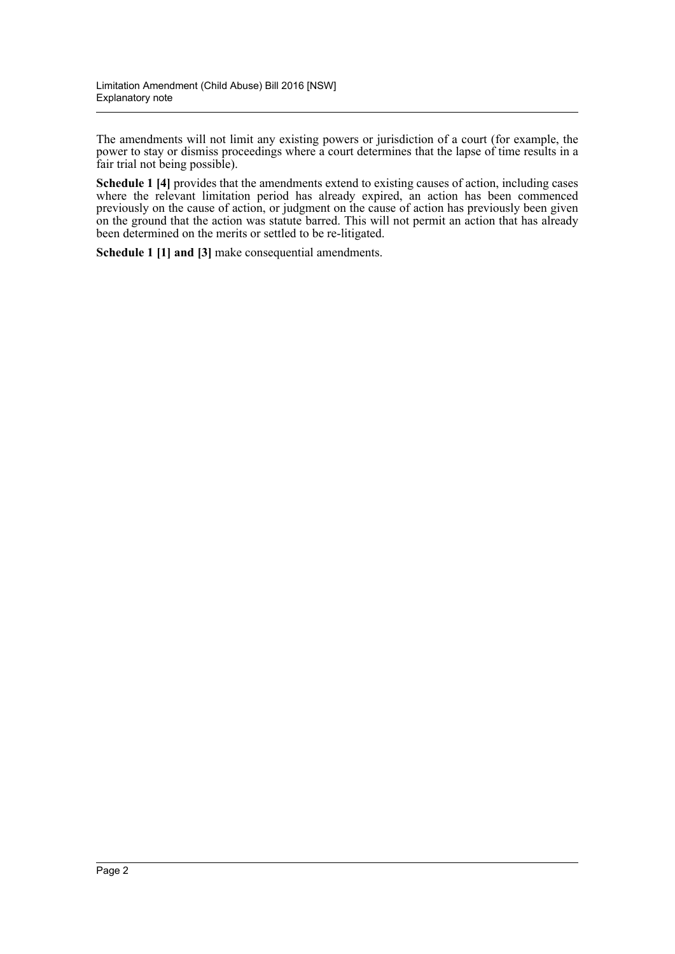The amendments will not limit any existing powers or jurisdiction of a court (for example, the power to stay or dismiss proceedings where a court determines that the lapse of time results in a fair trial not being possible).

**Schedule 1 [4]** provides that the amendments extend to existing causes of action, including cases where the relevant limitation period has already expired, an action has been commenced previously on the cause of action, or judgment on the cause of action has previously been given on the ground that the action was statute barred. This will not permit an action that has already been determined on the merits or settled to be re-litigated.

**Schedule 1 [1] and [3]** make consequential amendments.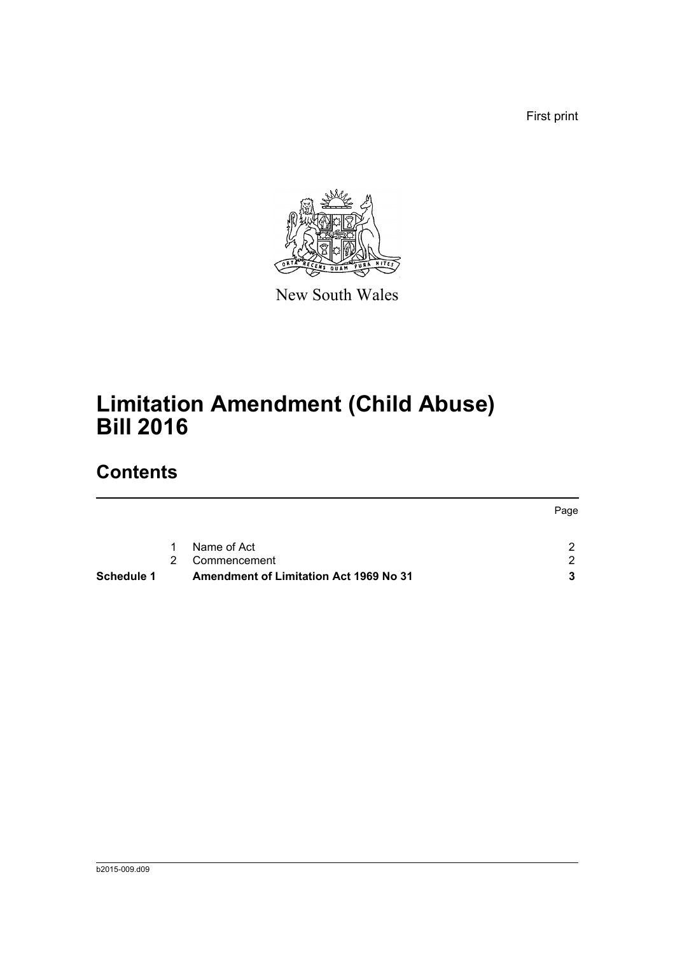First print



New South Wales

# **Limitation Amendment (Child Abuse) Bill 2016**

### **Contents**

| <b>Schedule 1</b> |               | <b>Amendment of Limitation Act 1969 No 31</b> |      |
|-------------------|---------------|-----------------------------------------------|------|
|                   | $\mathcal{P}$ | Commencement                                  | ົາ   |
|                   | $\mathbf{1}$  | Name of Act                                   | າ    |
|                   |               |                                               | Page |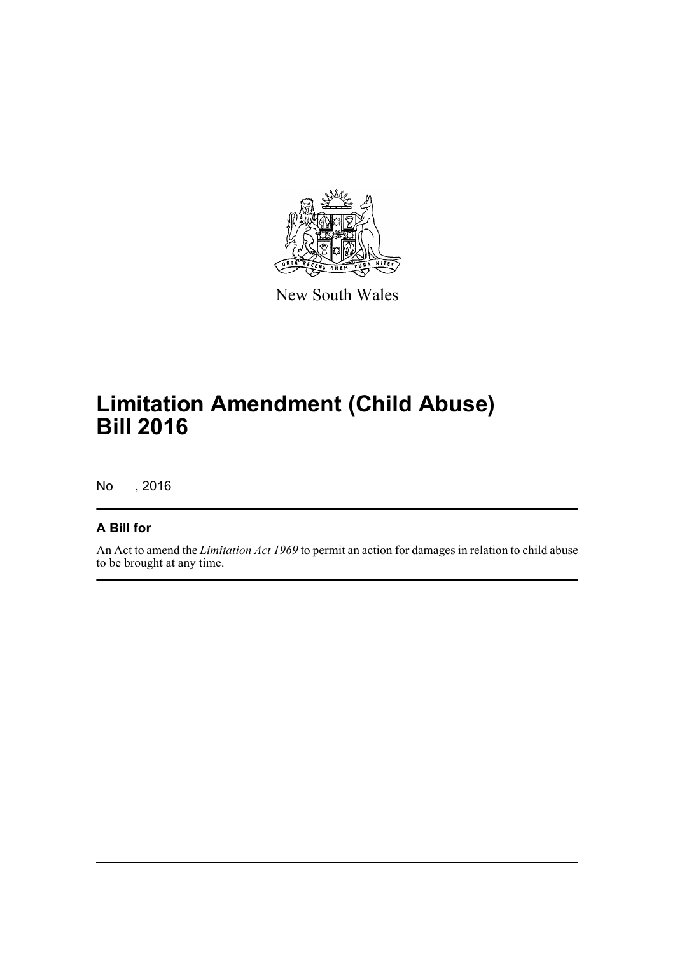

New South Wales

## **Limitation Amendment (Child Abuse) Bill 2016**

No , 2016

#### **A Bill for**

An Act to amend the *Limitation Act 1969* to permit an action for damages in relation to child abuse to be brought at any time.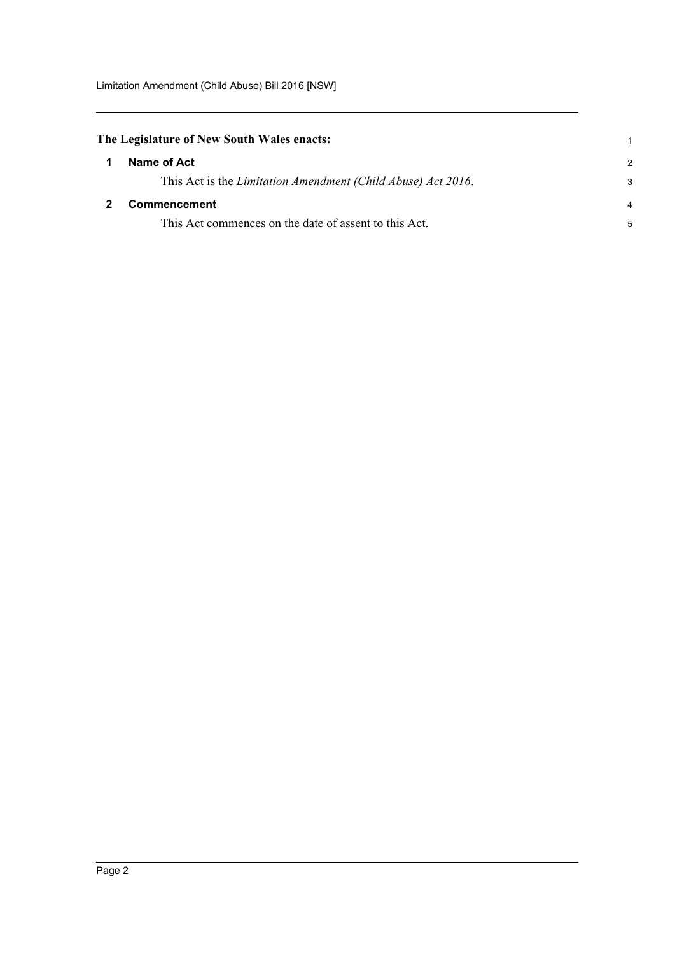<span id="page-4-1"></span><span id="page-4-0"></span>

| The Legislature of New South Wales enacts: |                                                              |                |
|--------------------------------------------|--------------------------------------------------------------|----------------|
|                                            | Name of Act                                                  | $\mathcal{P}$  |
|                                            | This Act is the Limitation Amendment (Child Abuse) Act 2016. | 3              |
|                                            | <b>Commencement</b>                                          | $\overline{4}$ |
|                                            | This Act commences on the date of assent to this Act.        | 5              |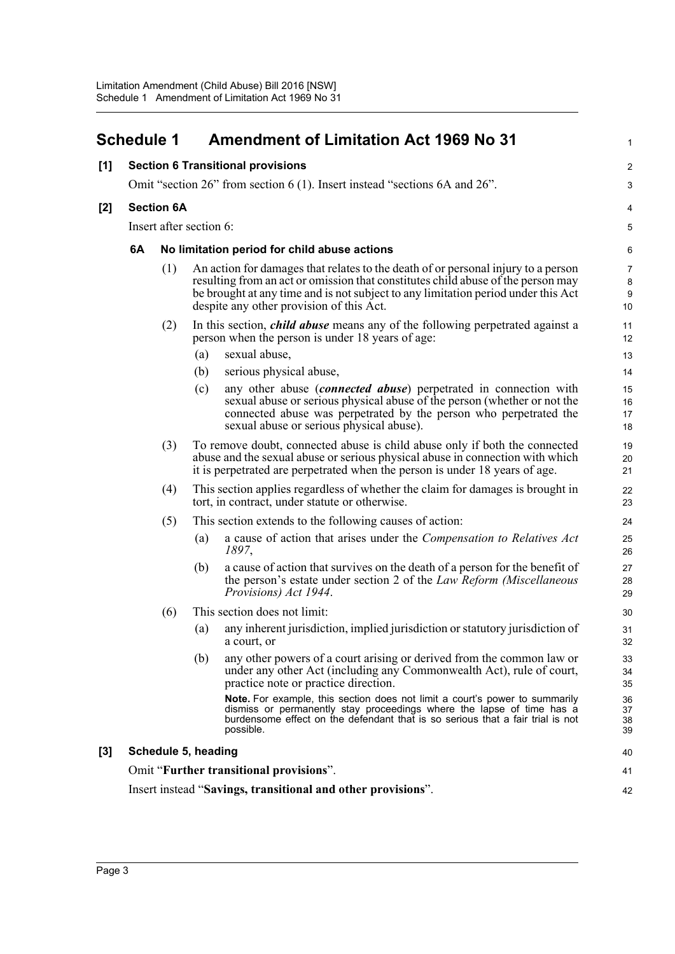<span id="page-5-0"></span>

|       | <b>Schedule 1</b>                        |                                                                            |                                                                                                                                                                                                                                                                                                        | <b>Amendment of Limitation Act 1969 No 31</b>                                                                                                                                                                                                                        | 1                    |  |  |
|-------|------------------------------------------|----------------------------------------------------------------------------|--------------------------------------------------------------------------------------------------------------------------------------------------------------------------------------------------------------------------------------------------------------------------------------------------------|----------------------------------------------------------------------------------------------------------------------------------------------------------------------------------------------------------------------------------------------------------------------|----------------------|--|--|
| [1]   | <b>Section 6 Transitional provisions</b> |                                                                            |                                                                                                                                                                                                                                                                                                        |                                                                                                                                                                                                                                                                      | $\overline{c}$       |  |  |
|       |                                          | Omit "section 26" from section 6 (1). Insert instead "sections 6A and 26". |                                                                                                                                                                                                                                                                                                        |                                                                                                                                                                                                                                                                      |                      |  |  |
| [2]   |                                          | <b>Section 6A</b>                                                          |                                                                                                                                                                                                                                                                                                        |                                                                                                                                                                                                                                                                      |                      |  |  |
|       |                                          | Insert after section 6:                                                    |                                                                                                                                                                                                                                                                                                        |                                                                                                                                                                                                                                                                      | $\overline{5}$       |  |  |
|       | 6A                                       | No limitation period for child abuse actions                               |                                                                                                                                                                                                                                                                                                        |                                                                                                                                                                                                                                                                      |                      |  |  |
|       |                                          | (1)                                                                        | An action for damages that relates to the death of or personal injury to a person<br>resulting from an act or omission that constitutes child abuse of the person may<br>be brought at any time and is not subject to any limitation period under this Act<br>despite any other provision of this Act. |                                                                                                                                                                                                                                                                      |                      |  |  |
|       |                                          | (2)                                                                        |                                                                                                                                                                                                                                                                                                        | In this section, <i>child abuse</i> means any of the following perpetrated against a<br>person when the person is under 18 years of age:                                                                                                                             | 11<br>12             |  |  |
|       |                                          |                                                                            | (a)                                                                                                                                                                                                                                                                                                    | sexual abuse,                                                                                                                                                                                                                                                        | 13                   |  |  |
|       |                                          |                                                                            | (b)                                                                                                                                                                                                                                                                                                    | serious physical abuse,                                                                                                                                                                                                                                              | 14                   |  |  |
|       |                                          |                                                                            | (c)                                                                                                                                                                                                                                                                                                    | any other abuse <i>(connected abuse)</i> perpetrated in connection with<br>sexual abuse or serious physical abuse of the person (whether or not the<br>connected abuse was perpetrated by the person who perpetrated the<br>sexual abuse or serious physical abuse). | 15<br>16<br>17<br>18 |  |  |
|       |                                          | (3)                                                                        |                                                                                                                                                                                                                                                                                                        | To remove doubt, connected abuse is child abuse only if both the connected<br>abuse and the sexual abuse or serious physical abuse in connection with which<br>it is perpetrated are perpetrated when the person is under 18 years of age.                           | 19<br>20<br>21       |  |  |
|       |                                          | (4)                                                                        |                                                                                                                                                                                                                                                                                                        | This section applies regardless of whether the claim for damages is brought in<br>tort, in contract, under statute or otherwise.                                                                                                                                     | 22<br>23             |  |  |
|       | (5)                                      |                                                                            |                                                                                                                                                                                                                                                                                                        | This section extends to the following causes of action:                                                                                                                                                                                                              | 24                   |  |  |
|       |                                          |                                                                            | (a)                                                                                                                                                                                                                                                                                                    | a cause of action that arises under the <i>Compensation to Relatives Act</i><br>1897,                                                                                                                                                                                | 25<br>26             |  |  |
|       |                                          |                                                                            | (b)                                                                                                                                                                                                                                                                                                    | a cause of action that survives on the death of a person for the benefit of<br>the person's estate under section 2 of the Law Reform (Miscellaneous<br>Provisions) Act 1944.                                                                                         | 27<br>28<br>29       |  |  |
|       |                                          | (6)                                                                        |                                                                                                                                                                                                                                                                                                        | This section does not limit:                                                                                                                                                                                                                                         | 30                   |  |  |
|       |                                          |                                                                            | (a)                                                                                                                                                                                                                                                                                                    | any inherent jurisdiction, implied jurisdiction or statutory jurisdiction of<br>a court, or                                                                                                                                                                          | 31<br>32             |  |  |
|       |                                          |                                                                            | (b)                                                                                                                                                                                                                                                                                                    | any other powers of a court arising or derived from the common law or<br>under any other Act (including any Commonwealth Act), rule of court,<br>practice note or practice direction.                                                                                | 33<br>34<br>35       |  |  |
|       |                                          |                                                                            |                                                                                                                                                                                                                                                                                                        | Note. For example, this section does not limit a court's power to summarily<br>dismiss or permanently stay proceedings where the lapse of time has a<br>burdensome effect on the defendant that is so serious that a fair trial is not<br>possible.                  | 36<br>37<br>38<br>39 |  |  |
| $[3]$ |                                          | Schedule 5, heading                                                        |                                                                                                                                                                                                                                                                                                        |                                                                                                                                                                                                                                                                      | 40                   |  |  |
|       |                                          |                                                                            |                                                                                                                                                                                                                                                                                                        | Omit "Further transitional provisions".                                                                                                                                                                                                                              | 41                   |  |  |
|       |                                          |                                                                            |                                                                                                                                                                                                                                                                                                        | Insert instead "Savings, transitional and other provisions".                                                                                                                                                                                                         | 42                   |  |  |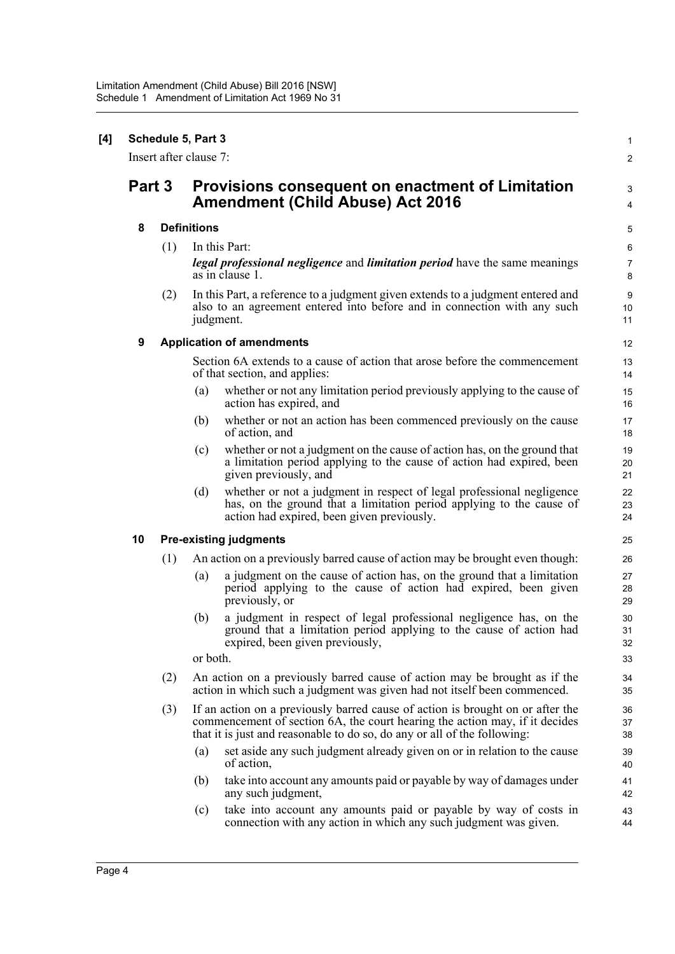|        | Schedule 5, Part 3<br>Insert after clause 7: |                                                                                             |                                                                                                                                                                                                                                           |                            |  |
|--------|----------------------------------------------|---------------------------------------------------------------------------------------------|-------------------------------------------------------------------------------------------------------------------------------------------------------------------------------------------------------------------------------------------|----------------------------|--|
| Part 3 |                                              | Provisions consequent on enactment of Limitation<br><b>Amendment (Child Abuse) Act 2016</b> |                                                                                                                                                                                                                                           | $\boldsymbol{2}$<br>3<br>4 |  |
| 8      |                                              |                                                                                             | <b>Definitions</b>                                                                                                                                                                                                                        |                            |  |
|        | (1)                                          |                                                                                             | In this Part:<br><i>legal professional negligence</i> and <i>limitation period</i> have the same meanings<br>as in clause 1.                                                                                                              | 6<br>$\overline{7}$<br>8   |  |
|        | (2)                                          |                                                                                             | In this Part, a reference to a judgment given extends to a judgment entered and<br>also to an agreement entered into before and in connection with any such<br>judgment.                                                                  | 9<br>10<br>11              |  |
| 9      |                                              |                                                                                             | <b>Application of amendments</b>                                                                                                                                                                                                          | 12                         |  |
|        |                                              |                                                                                             | Section 6A extends to a cause of action that arose before the commencement<br>of that section, and applies:                                                                                                                               | 13<br>14                   |  |
|        |                                              | (a)                                                                                         | whether or not any limitation period previously applying to the cause of<br>action has expired, and                                                                                                                                       | 15<br>16                   |  |
|        |                                              | (b)                                                                                         | whether or not an action has been commenced previously on the cause<br>of action, and                                                                                                                                                     | 17<br>18                   |  |
|        |                                              | (c)                                                                                         | whether or not a judgment on the cause of action has, on the ground that<br>a limitation period applying to the cause of action had expired, been<br>given previously, and                                                                | 19<br>20<br>21             |  |
|        |                                              | (d)                                                                                         | whether or not a judgment in respect of legal professional negligence<br>has, on the ground that a limitation period applying to the cause of<br>action had expired, been given previously.                                               | 22<br>23<br>24             |  |
| 10     |                                              |                                                                                             | <b>Pre-existing judgments</b>                                                                                                                                                                                                             | 25                         |  |
|        | (1)                                          |                                                                                             | An action on a previously barred cause of action may be brought even though:                                                                                                                                                              | 26                         |  |
|        |                                              | (a)                                                                                         | a judgment on the cause of action has, on the ground that a limitation<br>period applying to the cause of action had expired, been given<br>previously, or                                                                                | 27<br>28<br>29             |  |
|        |                                              | (b)                                                                                         | a judgment in respect of legal professional negligence has, on the<br>ground that a limitation period applying to the cause of action had<br>expired, been given previously,                                                              | 30<br>31<br>32             |  |
|        |                                              | or both.                                                                                    |                                                                                                                                                                                                                                           | 33                         |  |
|        | (2)                                          |                                                                                             | An action on a previously barred cause of action may be brought as if the<br>action in which such a judgment was given had not itself been commenced.                                                                                     | 34<br>35                   |  |
|        | (3)                                          |                                                                                             | If an action on a previously barred cause of action is brought on or after the<br>commencement of section 6A, the court hearing the action may, if it decides<br>that it is just and reasonable to do so, do any or all of the following: | 36<br>37<br>38             |  |
|        |                                              | (a)                                                                                         | set aside any such judgment already given on or in relation to the cause<br>of action,                                                                                                                                                    | 39<br>40                   |  |
|        |                                              | (b)                                                                                         | take into account any amounts paid or payable by way of damages under<br>any such judgment,                                                                                                                                               | 41<br>42                   |  |
|        |                                              | (c)                                                                                         | take into account any amounts paid or payable by way of costs in<br>connection with any action in which any such judgment was given.                                                                                                      | 43<br>44                   |  |